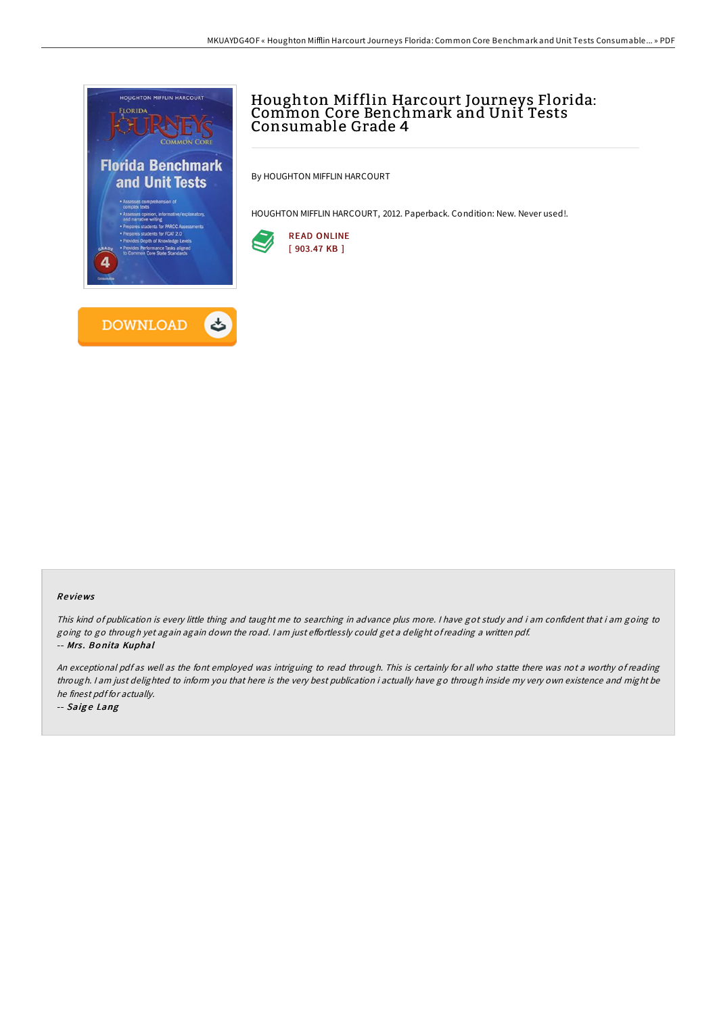

# Houghton Mifflin Harcourt Journeys Florida: Common Core Benchmark and Unit Tests Consumable Grade 4

By HOUGHTON MIFFLIN HARCOURT

HOUGHTON MIFFLIN HARCOURT, 2012. Paperback. Condition: New. Never used!.



#### Re views

This kind of publication is every little thing and taught me to searching in advance plus more. <sup>I</sup> have got study and i am confident that i am going to going to go through yet again again down the road. I am just effortlessly could get a delight of reading a written pdf. -- Mrs. Bonita Kuphal

An exceptional pdf as well as the font employed was intriguing to read through. This is certainly for all who statte there was not <sup>a</sup> worthy of reading through. <sup>I</sup> am just delighted to inform you that here is the very best publication i actually have go through inside my very own existence and might be he finest pdf for actually.

-- Saige Lang